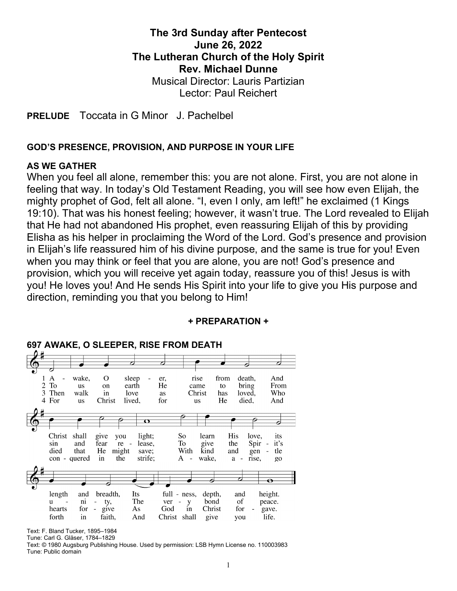# The 3rd Sunday after Pentecost June 26, 2022 The Lutheran Church of the Holy Spirit Rev. Michael Dunne Musical Director: Lauris Partizian Lector: Paul Reichert

PRELUDE Toccata in G Minor J. Pachelbel

#### GOD'S PRESENCE, PROVISION, AND PURPOSE IN YOUR LIFE

#### AS WE GATHER

When you feel all alone, remember this: you are not alone. First, you are not alone in feeling that way. In today's Old Testament Reading, you will see how even Elijah, the mighty prophet of God, felt all alone. "I, even I only, am left!" he exclaimed (1 Kings 19:10). That was his honest feeling; however, it wasn't true. The Lord revealed to Elijah that He had not abandoned His prophet, even reassuring Elijah of this by providing Elisha as his helper in proclaiming the Word of the Lord. God's presence and provision in Elijah's life reassured him of his divine purpose, and the same is true for you! Even when you may think or feel that you are alone, you are not! God's presence and provision, which you will receive yet again today, reassure you of this! Jesus is with you! He loves you! And He sends His Spirit into your life to give you His purpose and direction, reminding you that you belong to Him!



#### + PREPARATION +

Text: F. Bland Tucker, 1895–1984

Tune: Carl G. Gläser, 1784–1829 Text: © 1980 Augsburg Publishing House. Used by permission: LSB Hymn License no. 110003983 Tune: Public domain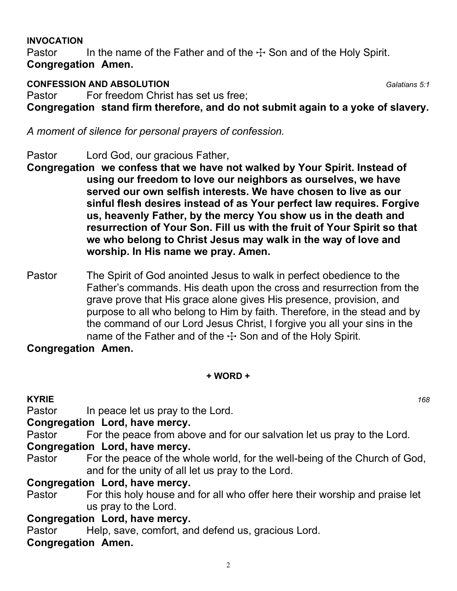#### INVOCATION

Pastor In the name of the Father and of the  $\pm$  Son and of the Holy Spirit. Congregation Amen.

# **CONFESSION AND ABSOLUTION** Galatians 5:1

Pastor For freedom Christ has set us free:

Congregation stand firm therefore, and do not submit again to a yoke of slavery.

A moment of silence for personal prayers of confession.

- Pastor Lord God, our gracious Father,
- Congregation we confess that we have not walked by Your Spirit. Instead of using our freedom to love our neighbors as ourselves, we have served our own selfish interests. We have chosen to live as our sinful flesh desires instead of as Your perfect law requires. Forgive us, heavenly Father, by the mercy You show us in the death and resurrection of Your Son. Fill us with the fruit of Your Spirit so that we who belong to Christ Jesus may walk in the way of love and worship. In His name we pray. Amen.
- Pastor The Spirit of God anointed Jesus to walk in perfect obedience to the Father's commands. His death upon the cross and resurrection from the grave prove that His grace alone gives His presence, provision, and purpose to all who belong to Him by faith. Therefore, in the stead and by the command of our Lord Jesus Christ, I forgive you all your sins in the name of the Father and of the  $\pm$  Son and of the Holy Spirit.

# Congregation Amen.

## + WORD +

# $KYRIE$  and  $168$

Pastor In peace let us pray to the Lord.

# Congregation Lord, have mercy.

Pastor For the peace from above and for our salvation let us pray to the Lord.

# Congregation Lord, have mercy.

Pastor For the peace of the whole world, for the well-being of the Church of God, and for the unity of all let us pray to the Lord.

# Congregation Lord, have mercy.

Pastor For this holy house and for all who offer here their worship and praise let us pray to the Lord.

# Congregation Lord, have mercy.

Pastor Help, save, comfort, and defend us, gracious Lord.

# Congregation Amen.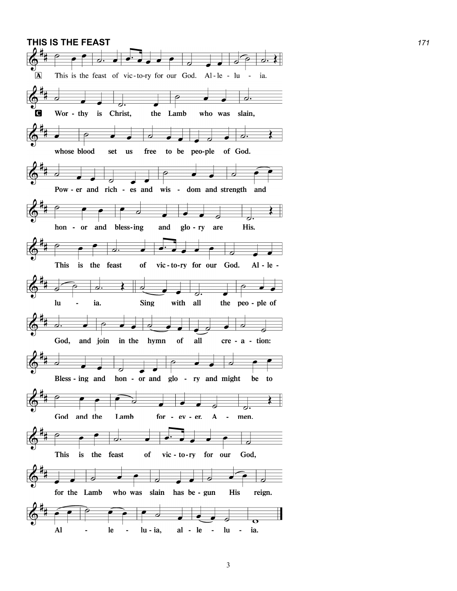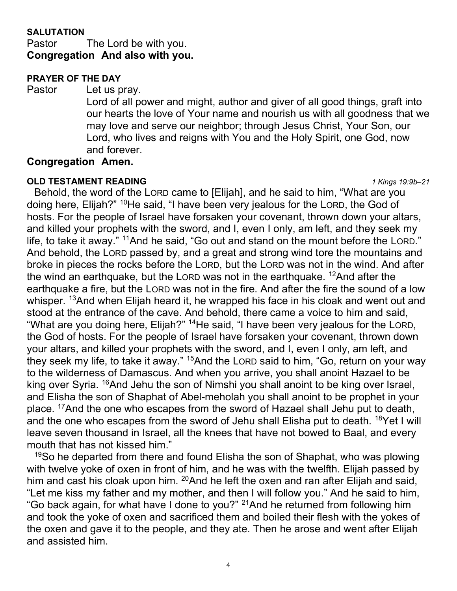## **SALUTATION**

Pastor The Lord be with you. Congregation And also with you.

#### PRAYER OF THE DAY

Pastor Let us pray.

Lord of all power and might, author and giver of all good things, graft into our hearts the love of Your name and nourish us with all goodness that we may love and serve our neighbor; through Jesus Christ, Your Son, our Lord, who lives and reigns with You and the Holy Spirit, one God, now and forever.

#### Congregation Amen.

#### **OLD TESTAMENT READING** 1 Kings 19:9b–21

 Behold, the word of the LORD came to [Elijah], and he said to him, "What are you doing here, Elijah?" <sup>10</sup>He said, "I have been very jealous for the LORD, the God of hosts. For the people of Israel have forsaken your covenant, thrown down your altars, and killed your prophets with the sword, and I, even I only, am left, and they seek my life, to take it away." <sup>11</sup>And he said, "Go out and stand on the mount before the LORD." And behold, the LORD passed by, and a great and strong wind tore the mountains and broke in pieces the rocks before the LORD, but the LORD was not in the wind. And after the wind an earthquake, but the LORD was not in the earthquake.  $12$ And after the earthquake a fire, but the LORD was not in the fire. And after the fire the sound of a low whisper. <sup>13</sup>And when Elijah heard it, he wrapped his face in his cloak and went out and stood at the entrance of the cave. And behold, there came a voice to him and said, "What are you doing here, Elijah?" <sup>14</sup>He said, "I have been very jealous for the LORD, the God of hosts. For the people of Israel have forsaken your covenant, thrown down your altars, and killed your prophets with the sword, and I, even I only, am left, and they seek my life, to take it away." <sup>15</sup>And the LORD said to him, "Go, return on your way to the wilderness of Damascus. And when you arrive, you shall anoint Hazael to be king over Syria. <sup>16</sup>And Jehu the son of Nimshi you shall anoint to be king over Israel, and Elisha the son of Shaphat of Abel-meholah you shall anoint to be prophet in your place. <sup>17</sup>And the one who escapes from the sword of Hazael shall Jehu put to death, and the one who escapes from the sword of Jehu shall Elisha put to death. <sup>18</sup>Yet I will leave seven thousand in Israel, all the knees that have not bowed to Baal, and every mouth that has not kissed him."

 $19$ So he departed from there and found Elisha the son of Shaphat, who was plowing with twelve yoke of oxen in front of him, and he was with the twelfth. Elijah passed by him and cast his cloak upon him.  $^{20}$ And he left the oxen and ran after Elijah and said, "Let me kiss my father and my mother, and then I will follow you." And he said to him, "Go back again, for what have I done to you?" <sup>21</sup>And he returned from following him and took the yoke of oxen and sacrificed them and boiled their flesh with the yokes of the oxen and gave it to the people, and they ate. Then he arose and went after Elijah and assisted him.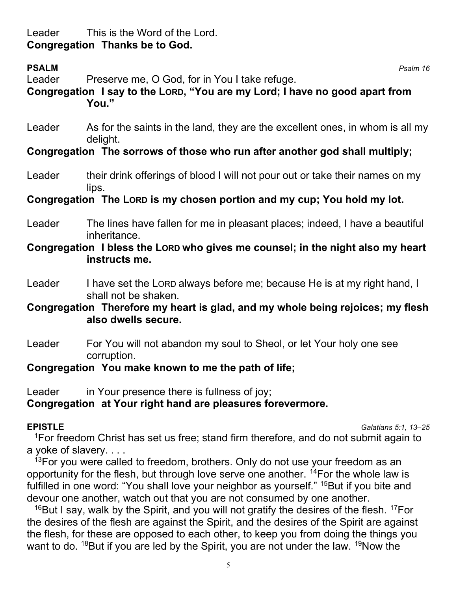# Leader This is the Word of the Lord. Congregation Thanks be to God.

| <b>PSALM</b><br>Leader                                                  | Preserve me, O God, for in You I take refuge.<br>Congregation I say to the LORD, "You are my Lord; I have no good apart from<br>You." | Psalm 16 |
|-------------------------------------------------------------------------|---------------------------------------------------------------------------------------------------------------------------------------|----------|
| Leader                                                                  | As for the saints in the land, they are the excellent ones, in whom is all my<br>delight.                                             |          |
|                                                                         | Congregation The sorrows of those who run after another god shall multiply;                                                           |          |
| Leader                                                                  | their drink offerings of blood I will not pour out or take their names on my<br>lips.                                                 |          |
| Congregation The Lorp is my chosen portion and my cup; You hold my lot. |                                                                                                                                       |          |
| Leader                                                                  | The lines have fallen for me in pleasant places; indeed, I have a beautiful<br>inheritance.                                           |          |
|                                                                         | Congregation I bless the Lorp who gives me counsel; in the night also my heart<br>instructs me.                                       |          |
| Leader                                                                  | I have set the LORD always before me; because He is at my right hand, I<br>shall not be shaken.                                       |          |
|                                                                         | Congregation Therefore my heart is glad, and my whole being rejoices; my flesh<br>also dwells secure.                                 |          |
| Leader                                                                  | For You will not abandon my soul to Sheol, or let Your holy one see<br>corruption.                                                    |          |
| Congregation You make known to me the path of life;                     |                                                                                                                                       |          |

Leader in Your presence there is fullness of joy; Congregation at Your right hand are pleasures forevermore.

EPISTLE Galatians 5:1, 13–25

<sup>1</sup>For freedom Christ has set us free; stand firm therefore, and do not submit again to a yoke of slavery. . . .

 $13$ For you were called to freedom, brothers. Only do not use your freedom as an opportunity for the flesh, but through love serve one another.  $14$  For the whole law is fulfilled in one word: "You shall love your neighbor as yourself." <sup>15</sup>But if you bite and devour one another, watch out that you are not consumed by one another.

 $16$ But I say, walk by the Spirit, and you will not gratify the desires of the flesh.  $17$ For the desires of the flesh are against the Spirit, and the desires of the Spirit are against the flesh, for these are opposed to each other, to keep you from doing the things you want to do.  $18$ But if you are led by the Spirit, you are not under the law.  $19$ Now the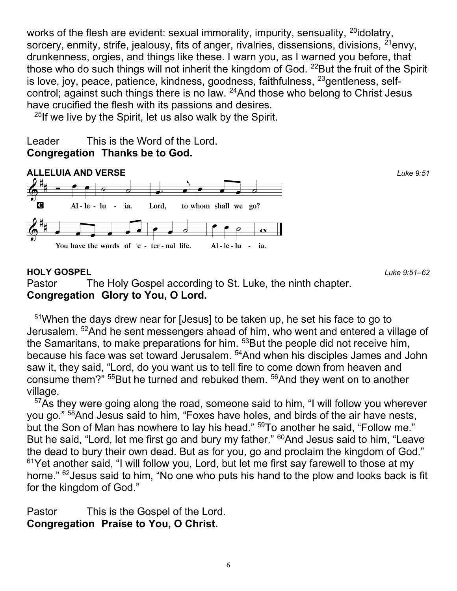works of the flesh are evident: sexual immorality, impurity, sensuality, <sup>20</sup>idolatry, sorcery, enmity, strife, jealousy, fits of anger, rivalries, dissensions, divisions,  $2^{1}$ envy, drunkenness, orgies, and things like these. I warn you, as I warned you before, that those who do such things will not inherit the kingdom of God.  $^{22}$ But the fruit of the Spirit is love, joy, peace, patience, kindness, goodness, faithfulness,  $^{23}$ gentleness, selfcontrol; against such things there is no law. <sup>24</sup>And those who belong to Christ Jesus have crucified the flesh with its passions and desires.

 $25$ If we live by the Spirit, let us also walk by the Spirit.

# Leader This is the Word of the Lord. Congregation Thanks be to God.



# HOLY GOSPEL 251–62

Pastor The Holy Gospel according to St. Luke, the ninth chapter. Congregation Glory to You, O Lord.

<sup>51</sup>When the days drew near for [Jesus] to be taken up, he set his face to go to Jerusalem. <sup>52</sup>And he sent messengers ahead of him, who went and entered a village of the Samaritans, to make preparations for him. <sup>53</sup>But the people did not receive him, because his face was set toward Jerusalem. <sup>54</sup>And when his disciples James and John saw it, they said, "Lord, do you want us to tell fire to come down from heaven and consume them?" <sup>55</sup>But he turned and rebuked them. <sup>56</sup>And they went on to another village.

<sup>57</sup>As they were going along the road, someone said to him, "I will follow you wherever you go." <sup>58</sup>And Jesus said to him, "Foxes have holes, and birds of the air have nests, but the Son of Man has nowhere to lay his head." <sup>59</sup>To another he said, "Follow me." But he said, "Lord, let me first go and bury my father." <sup>60</sup>And Jesus said to him, "Leave the dead to bury their own dead. But as for you, go and proclaim the kingdom of God." <sup>61</sup>Yet another said, "I will follow you, Lord, but let me first say farewell to those at my home." <sup>62</sup> Jesus said to him, "No one who puts his hand to the plow and looks back is fit for the kingdom of God."

Pastor This is the Gospel of the Lord. Congregation Praise to You, O Christ.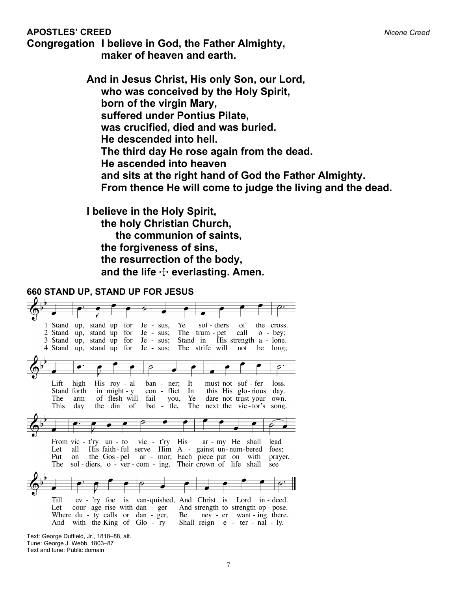#### APOSTLES' CREED Nicente Creed APOSTLES' CREED

Congregation I believe in God, the Father Almighty, maker of heaven and earth.

> And in Jesus Christ, His only Son, our Lord, who was conceived by the Holy Spirit, born of the virgin Mary, suffered under Pontius Pilate, was crucified, died and was buried. He descended into hell. The third day He rose again from the dead. He ascended into heaven and sits at the right hand of God the Father Almighty. From thence He will come to judge the living and the dead.

I believe in the Holy Spirit, the holy Christian Church, the communion of saints, the forgiveness of sins, the resurrection of the body, and the life  $\div$  everlasting. Amen.



Text: George Duffield, Jr., 1818–88, alt. Tune: George J. Webb, 1803–87 Text and tune: Public domain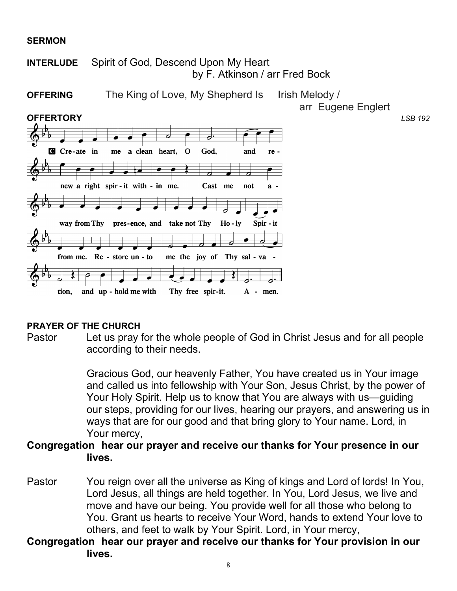#### **SERMON**



#### PRAYER OF THE CHURCH

Pastor Let us pray for the whole people of God in Christ Jesus and for all people according to their needs.

> Gracious God, our heavenly Father, You have created us in Your image and called us into fellowship with Your Son, Jesus Christ, by the power of Your Holy Spirit. Help us to know that You are always with us—guiding our steps, providing for our lives, hearing our prayers, and answering us in ways that are for our good and that bring glory to Your name. Lord, in Your mercy,

## Congregation hear our prayer and receive our thanks for Your presence in our lives.

- Pastor You reign over all the universe as King of kings and Lord of lords! In You, Lord Jesus, all things are held together. In You, Lord Jesus, we live and move and have our being. You provide well for all those who belong to You. Grant us hearts to receive Your Word, hands to extend Your love to others, and feet to walk by Your Spirit. Lord, in Your mercy,
- Congregation hear our prayer and receive our thanks for Your provision in our lives.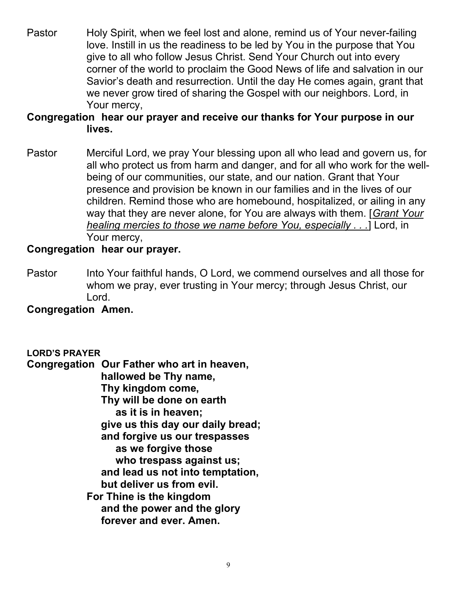Pastor Holy Spirit, when we feel lost and alone, remind us of Your never-failing love. Instill in us the readiness to be led by You in the purpose that You give to all who follow Jesus Christ. Send Your Church out into every corner of the world to proclaim the Good News of life and salvation in our Savior's death and resurrection. Until the day He comes again, grant that we never grow tired of sharing the Gospel with our neighbors. Lord, in Your mercy,

# Congregation hear our prayer and receive our thanks for Your purpose in our lives.

Pastor Merciful Lord, we pray Your blessing upon all who lead and govern us, for all who protect us from harm and danger, and for all who work for the wellbeing of our communities, our state, and our nation. Grant that Your presence and provision be known in our families and in the lives of our children. Remind those who are homebound, hospitalized, or ailing in any way that they are never alone, for You are always with them. [Grant Your healing mercies to those we name before You, especially . . .] Lord, in Your mercy,

# Congregation hear our prayer.

Pastor Into Your faithful hands, O Lord, we commend ourselves and all those for whom we pray, ever trusting in Your mercy; through Jesus Christ, our Lord.

# Congregation Amen.

#### LORD'S PRAYER

Congregation Our Father who art in heaven, hallowed be Thy name, Thy kingdom come, Thy will be done on earth as it is in heaven; give us this day our daily bread; and forgive us our trespasses as we forgive those who trespass against us; and lead us not into temptation, but deliver us from evil. For Thine is the kingdom and the power and the glory forever and ever. Amen.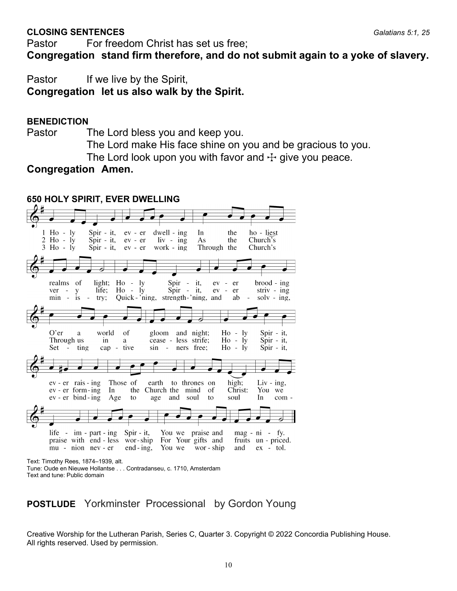#### **CLOSING SENTENCES** Galatians 5:1, 25

Pastor For freedom Christ has set us free;

Congregation stand firm therefore, and do not submit again to a yoke of slavery.

Pastor If we live by the Spirit,

Congregation let us also walk by the Spirit.

#### **BENEDICTION**

Pastor The Lord bless you and keep you.

The Lord make His face shine on you and be gracious to you. The Lord look upon you with favor and  $\pm$  give you peace.

Congregation Amen.



# POSTLUDE Yorkminster Processional by Gordon Young

Creative Worship for the Lutheran Parish, Series C, Quarter 3. Copyright © 2022 Concordia Publishing House. All rights reserved. Used by permission.